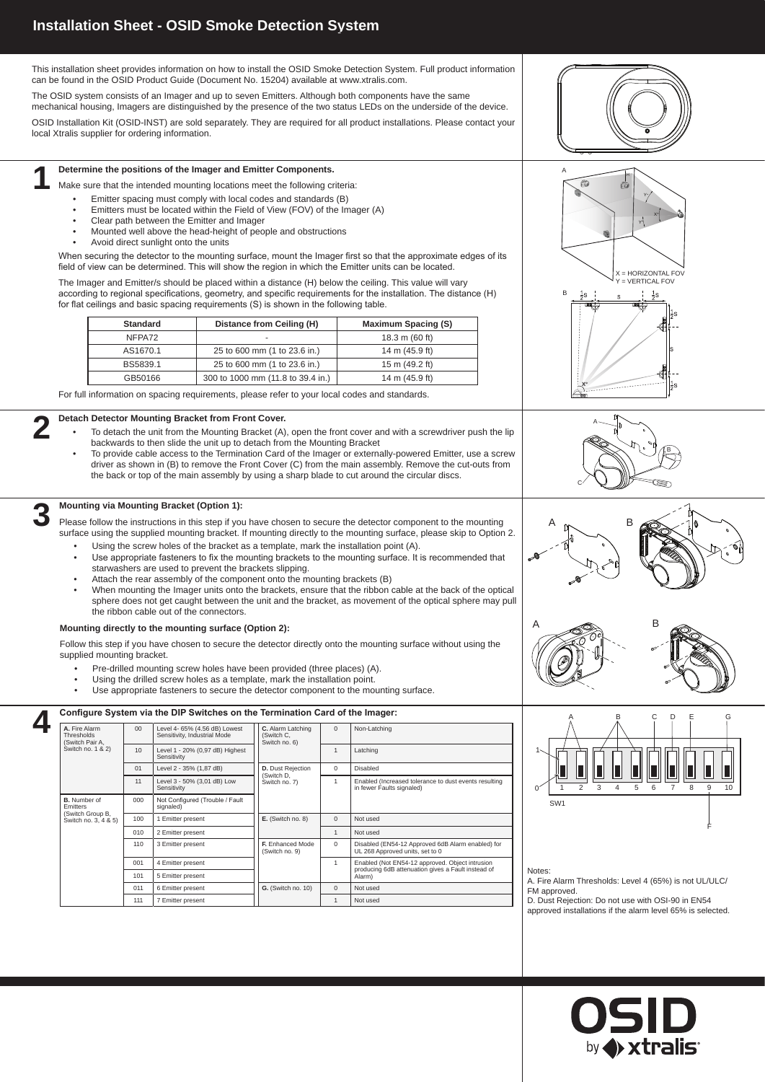## **Installation Sheet - OSID Smoke Detection System**

- To detach the unit from the Mounting Bracket (A), open the front cover and with a screwdriver push the lip backwards to then slide the unit up to detach from the Mounting Bracket
- To provide cable access to the Termination Card of the Imager or externally-powered Emitter, use a screw driver as shown in (B) to remove the Front Cover (C) from the main assembly. Remove the cut-outs from the back or top of the main assembly by using a sharp blade to cut around the circular discs.

### **Mounting via Mounting Bracket (Option 1):**

### **Detach Detector Mounting Bracket from Front Cover. 2**

Please follow the instructions in this step if you have chosen to secure the detector component to the mounting surface using the supplied mounting bracket. If mounting directly to the mounting surface, please skip to Option 2.

- Using the screw holes of the bracket as a template, mark the installation point (A).
- Use appropriate fasteners to fix the mounting brackets to the mounting surface. It is recommended that starwashers are used to prevent the brackets slipping.
- Attach the rear assembly of the component onto the mounting brackets (B)
- When mounting the Imager units onto the brackets, ensure that the ribbon cable at the back of the optical sphere does not get caught between the unit and the bracket, as movement of the optical sphere may pull the ribbon cable out of the connectors.

**3**

This installation sheet provides information on how to install the OSID Smoke Detection System. Full product information can be found in the OSID Product Guide (Document No. 15204) available at www.xtralis.com.

The OSID system consists of an Imager and up to seven Emitters. Although both components have the same mechanical housing, Imagers are distinguished by the presence of the two status LEDs on the underside of the device.

- Pre-drilled mounting screw holes have been provided (three places) (A).
- Using the drilled screw holes as a template, mark the installation point.
- Use appropriate fasteners to secure the detector component to the mounting surface.

OSID Installation Kit (OSID-INST) are sold separately. They are required for all product installations. Please contact your local Xtralis supplier for ordering information.

#### **Determine the positions of the Imager and Emitter Components.**

Make sure that the intended mounting locations meet the following criteria:

- Emitter spacing must comply with local codes and standards (B)
- Emitters must be located within the Field of View (FOV) of the Imager (A)
- Clear path between the Emitter and Imager
- Mounted well above the head-height of people and obstructions
- Avoid direct sunlight onto the units

When securing the detector to the mounting surface, mount the Imager first so that the approximate edges of its field of view can be determined. This will show the region in which the Emitter units can be located.

The Imager and Emitter/s should be placed within a distance (H) below the ceiling. This value will vary according to regional specifications, geometry, and specific requirements for the installation. The distance (H) for flat ceilings and basic spacing requirements (S) is shown in the following table.

#### **4 Configure System via the DIP Switches on the Termination Card of the Imager: A.** Fire Alarm **Thresholds** (Switch Pair A, Switch no. 1 & 2) 00 | Level 4- 65% (4.56 dB) Lowest Sensitivity, Industrial Mode **C.** Alarm Latching (Switch C, Switch no. 6) 0 | Non-Latching 10 Level 1 - 20% (0,97 dB) Highest Sensitivity 1 Latching 01 Level 2 - 35% (1,87 dB) **D.** Dust Rejection (Switch D, Switch no. 7) 0 Disabled 11 Level 3 - 50% (3,01 dB) Low 1 Enabled (Increased tolerance to dust events resulting



| <b>Standard</b> | Distance from Ceiling (H)         | <b>Maximum Spacing (S)</b> |
|-----------------|-----------------------------------|----------------------------|
| NFPA72          | $\overline{\phantom{a}}$          | 18.3 m $(60 ft)$           |
| AS1670.1        | 25 to 600 mm (1 to 23.6 in.)      | 14 m (45.9 ft)             |
| BS5839.1        | 25 to 600 mm (1 to 23.6 in.)      | 15 m (49.2 ft)             |
| GB50166         | 300 to 1000 mm (11.8 to 39.4 in.) | 14 m (45.9 ft)             |

For full information on spacing requirements, please refer to your local codes and standards.

**1**

#### **Mounting directly to the mounting surface (Option 2):**

Follow this step if you have chosen to secure the detector directly onto the mounting surface without using the supplied mounting bracket.









Sensitivity

in fewer Faults signaled)

**B.** Number of Emitters (Switch Group B,

signaled)

000 | Not Configured (Trouble / Fault

| Switch no. 3, 4 & 5) | 100 | Emitter present   | $E.$ (Switch no. 8)                       |   | Not used                                                                                              |
|----------------------|-----|-------------------|-------------------------------------------|---|-------------------------------------------------------------------------------------------------------|
|                      | 010 | 2 Emitter present |                                           |   | Not used                                                                                              |
|                      | 110 | 3 Emitter present | <b>F.</b> Enhanced Mode<br>(Switch no. 9) | 0 | Disabled (EN54-12 Approved 6dB Alarm enabled) for<br>UL 268 Approved units, set to 0                  |
|                      | 001 | 4 Emitter present |                                           |   | Enabled (Not EN54-12 approved. Object intrusion<br>producing 6dB attenuation gives a Fault instead of |
|                      | 101 | 5 Emitter present |                                           |   | Alarm)                                                                                                |
|                      | 011 | 6 Emitter present | <b>G.</b> (Switch no. 10)                 |   | Not used                                                                                              |
|                      | 111 | Emitter present   |                                           |   | Not used                                                                                              |



F

Notes:

A. Fire Alarm Thresholds: Level 4 (65%) is not UL/ULC/ FM approved.

D. Dust Rejection: Do not use with OSI-90 in EN54 approved installations if the alarm level 65% is selected.